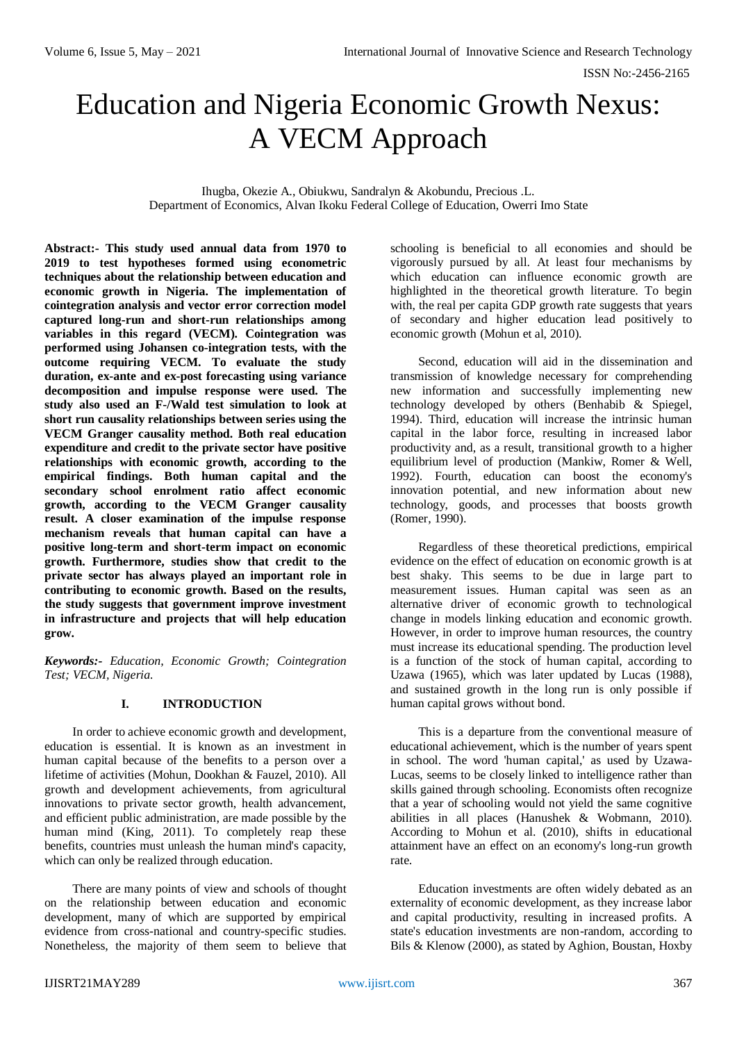# Education and Nigeria Economic Growth Nexus: A VECM Approach

Ihugba, Okezie A., Obiukwu, Sandralyn & Akobundu, Precious .L. Department of Economics, Alvan Ikoku Federal College of Education, Owerri Imo State

**Abstract:- This study used annual data from 1970 to 2019 to test hypotheses formed using econometric techniques about the relationship between education and economic growth in Nigeria. The implementation of cointegration analysis and vector error correction model captured long-run and short-run relationships among variables in this regard (VECM). Cointegration was performed using Johansen co-integration tests, with the outcome requiring VECM. To evaluate the study duration, ex-ante and ex-post forecasting using variance decomposition and impulse response were used. The study also used an F-/Wald test simulation to look at short run causality relationships between series using the VECM Granger causality method. Both real education expenditure and credit to the private sector have positive relationships with economic growth, according to the empirical findings. Both human capital and the secondary school enrolment ratio affect economic growth, according to the VECM Granger causality result. A closer examination of the impulse response mechanism reveals that human capital can have a positive long-term and short-term impact on economic growth. Furthermore, studies show that credit to the private sector has always played an important role in contributing to economic growth. Based on the results, the study suggests that government improve investment in infrastructure and projects that will help education grow.**

*Keywords:- Education, Economic Growth; Cointegration Test; VECM, Nigeria.* 

# **I. INTRODUCTION**

In order to achieve economic growth and development, education is essential. It is known as an investment in human capital because of the benefits to a person over a lifetime of activities (Mohun, Dookhan & Fauzel, 2010). All growth and development achievements, from agricultural innovations to private sector growth, health advancement, and efficient public administration, are made possible by the human mind (King, 2011). To completely reap these benefits, countries must unleash the human mind's capacity, which can only be realized through education.

There are many points of view and schools of thought on the relationship between education and economic development, many of which are supported by empirical evidence from cross-national and country-specific studies. Nonetheless, the majority of them seem to believe that

schooling is beneficial to all economies and should be vigorously pursued by all. At least four mechanisms by which education can influence economic growth are highlighted in the theoretical growth literature. To begin with, the real per capita GDP growth rate suggests that years of secondary and higher education lead positively to economic growth (Mohun et al, 2010).

Second, education will aid in the dissemination and transmission of knowledge necessary for comprehending new information and successfully implementing new technology developed by others (Benhabib & Spiegel, 1994). Third, education will increase the intrinsic human capital in the labor force, resulting in increased labor productivity and, as a result, transitional growth to a higher equilibrium level of production (Mankiw, Romer & Well, 1992). Fourth, education can boost the economy's innovation potential, and new information about new technology, goods, and processes that boosts growth (Romer, 1990).

Regardless of these theoretical predictions, empirical evidence on the effect of education on economic growth is at best shaky. This seems to be due in large part to measurement issues. Human capital was seen as an alternative driver of economic growth to technological change in models linking education and economic growth. However, in order to improve human resources, the country must increase its educational spending. The production level is a function of the stock of human capital, according to Uzawa (1965), which was later updated by Lucas (1988), and sustained growth in the long run is only possible if human capital grows without bond.

This is a departure from the conventional measure of educational achievement, which is the number of years spent in school. The word 'human capital,' as used by Uzawa-Lucas, seems to be closely linked to intelligence rather than skills gained through schooling. Economists often recognize that a year of schooling would not yield the same cognitive abilities in all places (Hanushek & Wobmann, 2010). According to Mohun et al. (2010), shifts in educational attainment have an effect on an economy's long-run growth rate.

Education investments are often widely debated as an externality of economic development, as they increase labor and capital productivity, resulting in increased profits. A state's education investments are non-random, according to Bils & Klenow (2000), as stated by Aghion, Boustan, Hoxby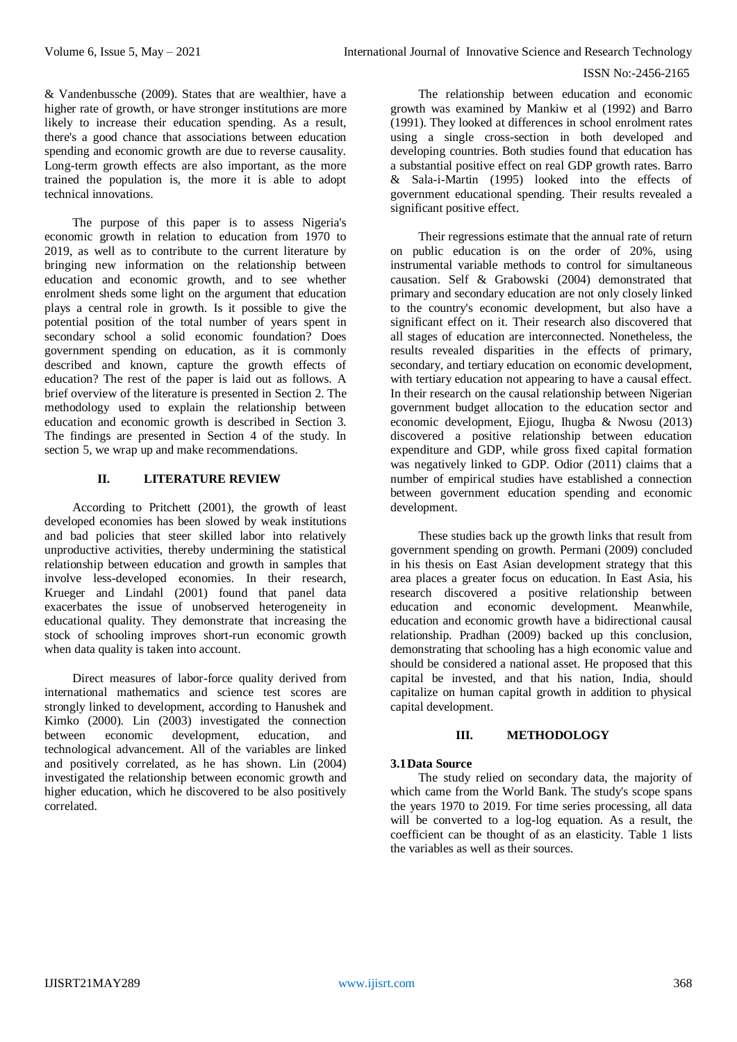& Vandenbussche (2009). States that are wealthier, have a higher rate of growth, or have stronger institutions are more likely to increase their education spending. As a result, there's a good chance that associations between education spending and economic growth are due to reverse causality. Long-term growth effects are also important, as the more trained the population is, the more it is able to adopt technical innovations.

The purpose of this paper is to assess Nigeria's economic growth in relation to education from 1970 to 2019, as well as to contribute to the current literature by bringing new information on the relationship between education and economic growth, and to see whether enrolment sheds some light on the argument that education plays a central role in growth. Is it possible to give the potential position of the total number of years spent in secondary school a solid economic foundation? Does government spending on education, as it is commonly described and known, capture the growth effects of education? The rest of the paper is laid out as follows. A brief overview of the literature is presented in Section 2. The methodology used to explain the relationship between education and economic growth is described in Section 3. The findings are presented in Section 4 of the study. In section 5, we wrap up and make recommendations.

# **II. LITERATURE REVIEW**

According to Pritchett (2001), the growth of least developed economies has been slowed by weak institutions and bad policies that steer skilled labor into relatively unproductive activities, thereby undermining the statistical relationship between education and growth in samples that involve less-developed economies. In their research, Krueger and Lindahl (2001) found that panel data exacerbates the issue of unobserved heterogeneity in educational quality. They demonstrate that increasing the stock of schooling improves short-run economic growth when data quality is taken into account.

Direct measures of labor-force quality derived from international mathematics and science test scores are strongly linked to development, according to Hanushek and Kimko (2000). Lin (2003) investigated the connection between economic development, education, and technological advancement. All of the variables are linked and positively correlated, as he has shown. Lin (2004) investigated the relationship between economic growth and higher education, which he discovered to be also positively correlated.

The relationship between education and economic growth was examined by Mankiw et al (1992) and Barro (1991). They looked at differences in school enrolment rates using a single cross-section in both developed and developing countries. Both studies found that education has a substantial positive effect on real GDP growth rates. Barro & Sala-i-Martin (1995) looked into the effects of government educational spending. Their results revealed a significant positive effect.

Their regressions estimate that the annual rate of return on public education is on the order of 20%, using instrumental variable methods to control for simultaneous causation. Self & Grabowski (2004) demonstrated that primary and secondary education are not only closely linked to the country's economic development, but also have a significant effect on it. Their research also discovered that all stages of education are interconnected. Nonetheless, the results revealed disparities in the effects of primary, secondary, and tertiary education on economic development, with tertiary education not appearing to have a causal effect. In their research on the causal relationship between Nigerian government budget allocation to the education sector and economic development, Ejiogu, Ihugba & Nwosu (2013) discovered a positive relationship between education expenditure and GDP, while gross fixed capital formation was negatively linked to GDP. Odior (2011) claims that a number of empirical studies have established a connection between government education spending and economic development.

These studies back up the growth links that result from government spending on growth. Permani (2009) concluded in his thesis on East Asian development strategy that this area places a greater focus on education. In East Asia, his research discovered a positive relationship between education and economic development. Meanwhile, education and economic growth have a bidirectional causal relationship. Pradhan (2009) backed up this conclusion, demonstrating that schooling has a high economic value and should be considered a national asset. He proposed that this capital be invested, and that his nation, India, should capitalize on human capital growth in addition to physical capital development.

# **III. METHODOLOGY**

# **3.1Data Source**

The study relied on secondary data, the majority of which came from the World Bank. The study's scope spans the years 1970 to 2019. For time series processing, all data will be converted to a log-log equation. As a result, the coefficient can be thought of as an elasticity. Table 1 lists the variables as well as their sources.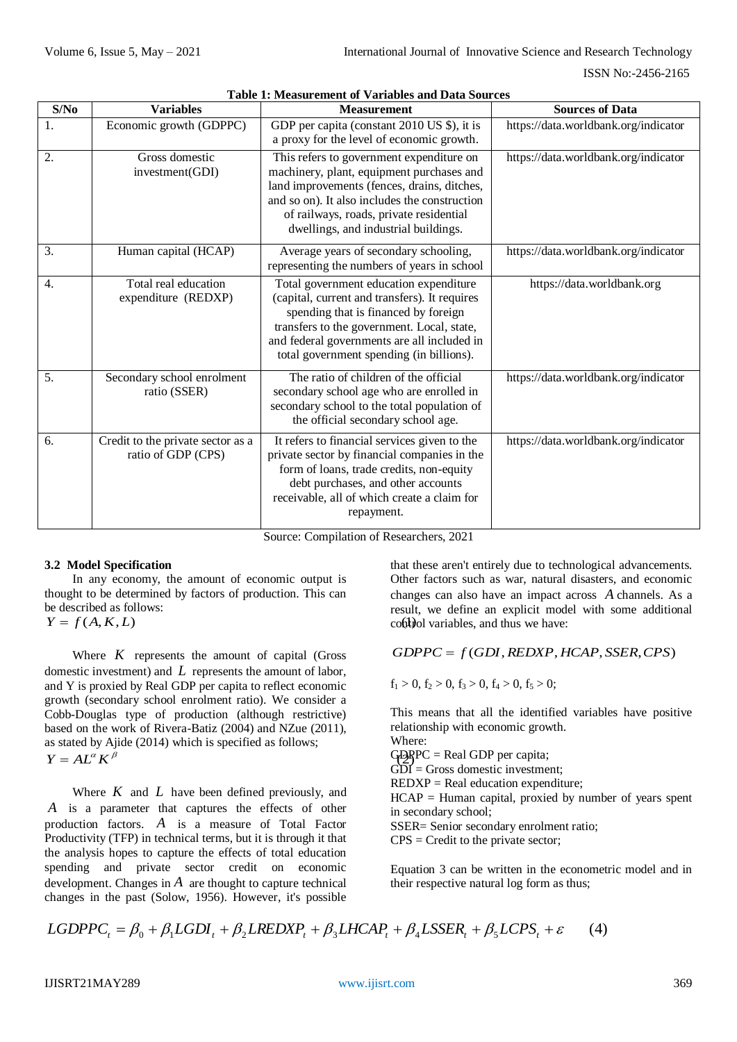| S/No             | <b>Variables</b>                                        | <b>Measurement</b>                                                                                                                                                                                                                                                       | <b>Sources of Data</b>               |
|------------------|---------------------------------------------------------|--------------------------------------------------------------------------------------------------------------------------------------------------------------------------------------------------------------------------------------------------------------------------|--------------------------------------|
| 1.               | Economic growth (GDPPC)                                 | GDP per capita (constant 2010 US \$), it is<br>a proxy for the level of economic growth.                                                                                                                                                                                 | https://data.worldbank.org/indicator |
| 2.               | Gross domestic<br>investment(GDI)                       | This refers to government expenditure on<br>machinery, plant, equipment purchases and<br>land improvements (fences, drains, ditches,<br>and so on). It also includes the construction<br>of railways, roads, private residential<br>dwellings, and industrial buildings. | https://data.worldbank.org/indicator |
| 3.               | Human capital (HCAP)                                    | Average years of secondary schooling,<br>representing the numbers of years in school                                                                                                                                                                                     | https://data.worldbank.org/indicator |
| $\overline{4}$ . | Total real education<br>expenditure (REDXP)             | Total government education expenditure<br>(capital, current and transfers). It requires<br>spending that is financed by foreign<br>transfers to the government. Local, state,<br>and federal governments are all included in<br>total government spending (in billions). | https://data.worldbank.org           |
| 5.               | Secondary school enrolment<br>ratio (SSER)              | The ratio of children of the official<br>secondary school age who are enrolled in<br>secondary school to the total population of<br>the official secondary school age.                                                                                                   | https://data.worldbank.org/indicator |
| 6.               | Credit to the private sector as a<br>ratio of GDP (CPS) | It refers to financial services given to the<br>private sector by financial companies in the<br>form of loans, trade credits, non-equity<br>debt purchases, and other accounts<br>receivable, all of which create a claim for<br>repayment.                              | https://data.worldbank.org/indicator |

**Table 1: Measurement of Variables and Data Sources**

Source: Compilation of Researchers, 2021

# **3.2 Model Specification**

In any economy, the amount of economic output is thought to be determined by factors of production. This can be described as follows:  $Y = f(A, K, L)$ 

Where  $K$  represents the amount of capital (Gross domestic investment) and *L* represents the amount of labor, and Y is proxied by Real GDP per capita to reflect economic growth (secondary school enrolment ratio). We consider a Cobb-Douglas type of production (although restrictive) based on the work of Rivera-Batiz (2004) and NZue (2011), as stated by Ajide (2014) which is specified as follows;  $Y = AL^{\alpha} K^{\beta}$ 

Where  $K$  and  $L$  have been defined previously, and *A* is a parameter that captures the effects of other production factors. *A* is a measure of Total Factor Productivity (TFP) in technical terms, but it is through it that the analysis hopes to capture the effects of total education spending and private sector credit on economic development. Changes in  $A$  are thought to capture technical changes in the past (Solow, 1956). However, it's possible

that these aren't entirely due to technological advancements. Other factors such as war, natural disasters, and economic changes can also have an impact across *A* channels. As a result, we define an explicit model with some additional control variables, and thus we have:

# $GDPPC = f(GDI, REDXP, HCAP, SSER, CPS)$

 $f_1 > 0$ ,  $f_2 > 0$ ,  $f_3 > 0$ ,  $f_4 > 0$ ,  $f_5 > 0$ ;

GDPPC = Real GDP per capita; This means that all the identified variables have positive relationship with economic growth. Where:  $G\overline{D}I$  = Gross domestic investment;  $REDXP = Real education expenditure;$  $HCAP = Human capital$ , proxied by number of years spent in secondary school; SSER= Senior secondary enrolment ratio;  $CPS = C$  redit to the private sector:

Equation 3 can be written in the econometric model and in their respective natural log form as thus;

$$
LGDPPC_t = \beta_0 + \beta_1 LGDI_t + \beta_2 LREDXP_t + \beta_3 LHCAP_t + \beta_4 LSSER_t + \beta_5 LCPS_t + \varepsilon \tag{4}
$$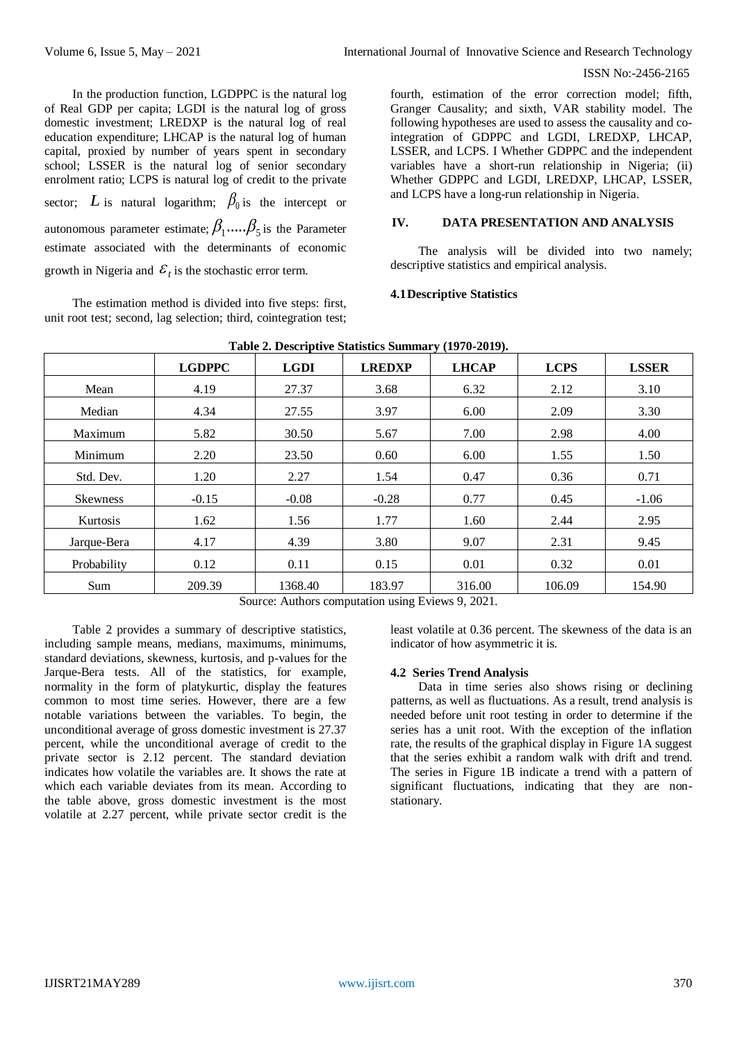In the production function, LGDPPC is the natural log of Real GDP per capita; LGDI is the natural log of gross domestic investment; LREDXP is the natural log of real education expenditure; LHCAP is the natural log of human capital, proxied by number of years spent in secondary school; LSSER is the natural log of senior secondary enrolment ratio; LCPS is natural log of credit to the private sector; L is natural logarithm;  $\beta_0$  is the intercept or autonomous parameter estimate;  $\beta_1....\beta_5$  is the Parameter estimate associated with the determinants of economic growth in Nigeria and  $\mathcal{E}_t$  is the stochastic error term.

The estimation method is divided into five steps: first, unit root test; second, lag selection; third, cointegration test;

fourth, estimation of the error correction model; fifth, Granger Causality; and sixth, VAR stability model. The following hypotheses are used to assess the causality and cointegration of GDPPC and LGDI, LREDXP, LHCAP, LSSER, and LCPS. I Whether GDPPC and the independent variables have a short-run relationship in Nigeria; (ii) Whether GDPPC and LGDI, LREDXP, LHCAP, LSSER, and LCPS have a long-run relationship in Nigeria.

# **IV. DATA PRESENTATION AND ANALYSIS**

The analysis will be divided into two namely; descriptive statistics and empirical analysis.

# **4.1Descriptive Statistics**

|                 |               |             | Twore $\blacksquare$ , is coveright to be constituted beaming that the $\blacksquare$ |              |             |              |
|-----------------|---------------|-------------|---------------------------------------------------------------------------------------|--------------|-------------|--------------|
|                 | <b>LGDPPC</b> | <b>LGDI</b> | <b>LREDXP</b>                                                                         | <b>LHCAP</b> | <b>LCPS</b> | <b>LSSER</b> |
| Mean            | 4.19          | 27.37       | 3.68                                                                                  | 6.32         | 2.12        | 3.10         |
| Median          | 4.34          | 27.55       | 3.97                                                                                  | 6.00         | 2.09        | 3.30         |
| Maximum         | 5.82          | 30.50       | 5.67                                                                                  | 7.00         | 2.98        | 4.00         |
| Minimum         | 2.20          | 23.50       | 0.60                                                                                  | 6.00         | 1.55        | 1.50         |
| Std. Dev.       | 1.20          | 2.27        | 1.54                                                                                  | 0.47         | 0.36        | 0.71         |
| <b>Skewness</b> | $-0.15$       | $-0.08$     | $-0.28$                                                                               | 0.77         | 0.45        | $-1.06$      |
| Kurtosis        | 1.62          | 1.56        | 1.77                                                                                  | 1.60         | 2.44        | 2.95         |
| Jarque-Bera     | 4.17          | 4.39        | 3.80                                                                                  | 9.07         | 2.31        | 9.45         |
| Probability     | 0.12          | 0.11        | 0.15                                                                                  | 0.01         | 0.32        | 0.01         |
| Sum             | 209.39        | 1368.40     | 183.97                                                                                | 316.00       | 106.09      | 154.90       |

**Table 2. Descriptive Statistics Summary (1970-2019).**

Source: Authors computation using Eviews 9, 2021.

Table 2 provides a summary of descriptive statistics, including sample means, medians, maximums, minimums, standard deviations, skewness, kurtosis, and p-values for the Jarque-Bera tests. All of the statistics, for example, normality in the form of platykurtic, display the features common to most time series. However, there are a few notable variations between the variables. To begin, the unconditional average of gross domestic investment is 27.37 percent, while the unconditional average of credit to the private sector is 2.12 percent. The standard deviation indicates how volatile the variables are. It shows the rate at which each variable deviates from its mean. According to the table above, gross domestic investment is the most volatile at 2.27 percent, while private sector credit is the

least volatile at 0.36 percent. The skewness of the data is an indicator of how asymmetric it is.

# **4.2 Series Trend Analysis**

Data in time series also shows rising or declining patterns, as well as fluctuations. As a result, trend analysis is needed before unit root testing in order to determine if the series has a unit root. With the exception of the inflation rate, the results of the graphical display in Figure 1A suggest that the series exhibit a random walk with drift and trend. The series in Figure 1B indicate a trend with a pattern of significant fluctuations, indicating that they are nonstationary.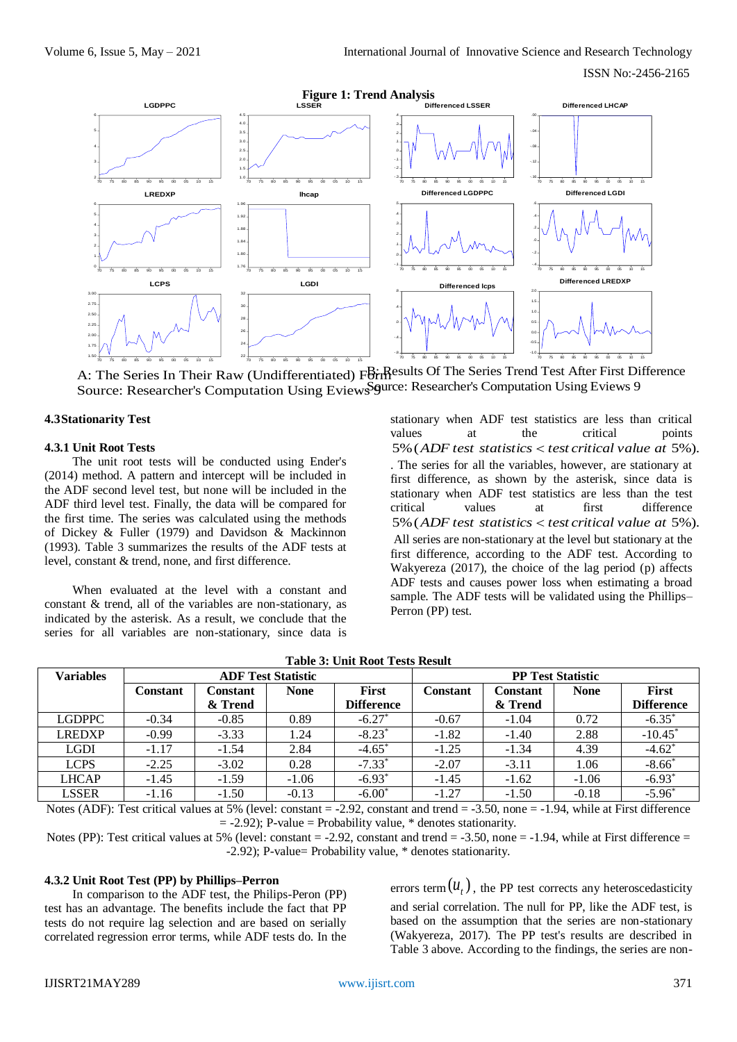

A: The Series In Their Raw (Undifferentiated) For Results Of The Series Trend Test After First Difference Source: Researcher's Computation Using Eviews Squrce: Researcher's Computation Using Eviews 9

#### **4.3Stationarity Test**

#### **4.3.1 Unit Root Tests**

The unit root tests will be conducted using Ender's (2014) method. A pattern and intercept will be included in the ADF second level test, but none will be included in the ADF third level test. Finally, the data will be compared for the first time. The series was calculated using the methods of Dickey & Fuller (1979) and Davidson & Mackinnon (1993). Table 3 summarizes the results of the ADF tests at level, constant & trend, none, and first difference.

When evaluated at the level with a constant and constant & trend, all of the variables are non-stationary, as indicated by the asterisk. As a result, we conclude that the series for all variables are non-stationary, since data is

stationary when ADF test statistics are less than critical values at the critical points 5%(*ADF test statistics test critical value at* 5%). . The series for all the variables, however, are stationary at first difference, as shown by the asterisk, since data is stationary when ADF test statistics are less than the test critical values at first difference 5%(*ADF test statistics test critical value at* 5%). All series are non-stationary at the level but stationary at the first difference, according to the ADF test. According to Wakyereza (2017), the choice of the lag period (p) affects ADF tests and causes power loss when estimating a broad sample. The ADF tests will be validated using the Phillips– Perron (PP) test.

| <b>Variables</b> | <b>ADF Test Statistic</b> |          |             |                   | <b>PP Test Statistic</b> |                 |             |                      |  |
|------------------|---------------------------|----------|-------------|-------------------|--------------------------|-----------------|-------------|----------------------|--|
|                  | Constant                  | Constant | <b>None</b> | <b>First</b>      | <b>Constant</b>          | <b>Constant</b> | <b>None</b> | First                |  |
|                  |                           | & Trend  |             | <b>Difference</b> |                          | & Trend         |             | <b>Difference</b>    |  |
| <b>LGDPPC</b>    | $-0.34$                   | $-0.85$  | 0.89        | $-6.27*$          | $-0.67$                  | $-1.04$         | 0.72        | $-6.35*$             |  |
| <b>LREDXP</b>    | $-0.99$                   | $-3.33$  | l.24        | $-8.23*$          | $-1.82$                  | $-1.40$         | 2.88        | $-10.45*$            |  |
| <b>LGDI</b>      | $-1.17$                   | $-1.54$  | 2.84        | $-4.65^*$         | $-1.25$                  | $-1.34$         | 4.39        | $-4.62$ <sup>*</sup> |  |
| <b>LCPS</b>      | $-2.25$                   | $-3.02$  | 0.28        | $-7.33*$          | $-2.07$                  | $-3.11$         | 1.06        | $-8.66*$             |  |
| <b>LHCAP</b>     | $-1.45$                   | $-1.59$  | $-1.06$     | $-6.93*$          | $-1.45$                  | $-1.62$         | $-1.06$     | $-6.93*$             |  |
| <b>LSSER</b>     | $-1.16$                   | $-1.50$  | $-0.13$     | $-6.00*$          | $-1.27$                  | $-1.50$         | $-0.18$     | $-5.96^*$            |  |
|                  |                           |          |             |                   |                          |                 |             |                      |  |

**Table 3: Unit Root Tests Result**

Notes (ADF): Test critical values at 5% (level: constant  $= -2.92$ , constant and trend  $= -3.50$ , none  $= -1.94$ , while at First difference  $= -2.92$ ); P-value = Probability value, \* denotes stationarity.

Notes (PP): Test critical values at 5% (level: constant  $= -2.92$ , constant and trend  $= -3.50$ , none  $= -1.94$ , while at First difference  $=$ -2.92); P-value= Probability value, \* denotes stationarity.

#### **4.3.2 Unit Root Test (PP) by Phillips–Perron**

In comparison to the ADF test, the Philips-Peron (PP) test has an advantage. The benefits include the fact that PP tests do not require lag selection and are based on serially correlated regression error terms, while ADF tests do. In the

errors term  $(u_t)$ , the PP test corrects any heteroscedasticity and serial correlation. The null for PP, like the ADF test, is based on the assumption that the series are non-stationary (Wakyereza, 2017). The PP test's results are described in Table 3 above. According to the findings, the series are non-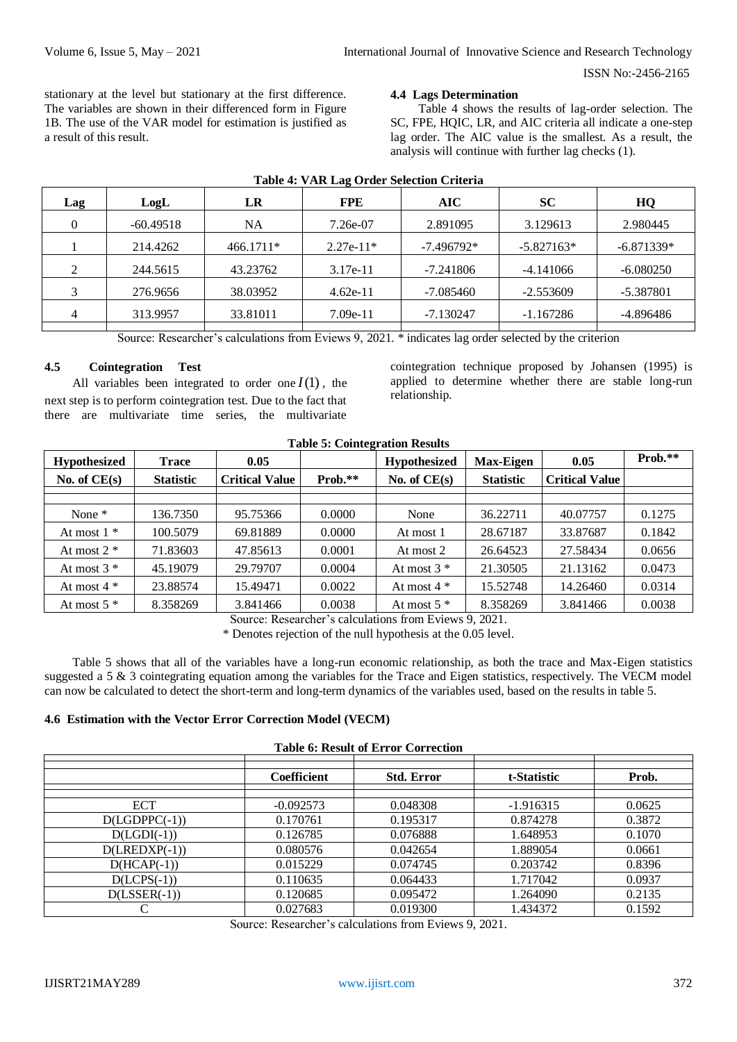stationary at the level but stationary at the first difference. The variables are shown in their differenced form in Figure 1B. The use of the VAR model for estimation is justified as a result of this result.

#### **4.4 Lags Determination**

Table 4 shows the results of lag-order selection. The SC, FPE, HQIC, LR, and AIC criteria all indicate a one-step lag order. The AIC value is the smallest. As a result, the analysis will continue with further lag checks (1).

| Lag | LogL        | LR        | <b>FPE</b>  | <b>AIC</b>   | <b>SC</b>    | HQ           |
|-----|-------------|-----------|-------------|--------------|--------------|--------------|
|     | $-60.49518$ | NA        | 7.26e-07    | 2.891095     | 3.129613     | 2.980445     |
|     | 214.4262    | 466.1711* | $2.27e-11*$ | $-7.496792*$ | $-5.827163*$ | $-6.871339*$ |
|     | 244.5615    | 43.23762  | $3.17e-11$  | $-7.241806$  | $-4.141066$  | $-6.080250$  |
|     | 276.9656    | 38.03952  | $4.62e-11$  | $-7.085460$  | $-2.553609$  | $-5.387801$  |
|     | 313.9957    | 33.81011  | $7.09e-11$  | $-7.130247$  | $-1.167286$  | -4.896486    |
|     |             |           |             |              |              |              |

# **Table 4: VAR Lag Order Selection Criteria**

Source: Researcher's calculations from Eviews 9, 2021. \* indicates lag order selected by the criterion

# **4.5 Cointegration Test**

All variables been integrated to order one  $I(1)$ , the next step is to perform cointegration test. Due to the fact that there are multivariate time series, the multivariate

cointegration technique proposed by Johansen (1995) is applied to determine whether there are stable long-run relationship.

| <b>Table 5: Cointegration Results</b> |                  |                       |           |                     |                  |                       |           |  |  |
|---------------------------------------|------------------|-----------------------|-----------|---------------------|------------------|-----------------------|-----------|--|--|
| Hypothesized                          | <b>Trace</b>     | 0.05                  |           | <b>Hypothesized</b> | <b>Max-Eigen</b> | 0.05                  | $Prob.**$ |  |  |
| No. of $CE(s)$                        | <b>Statistic</b> | <b>Critical Value</b> | $Prob.**$ | No. of $CE(s)$      | <b>Statistic</b> | <b>Critical Value</b> |           |  |  |
|                                       |                  |                       |           |                     |                  |                       |           |  |  |
| None $*$                              | 136.7350         | 95.75366              | 0.0000    | None                | 36.22711         | 40.07757              | 0.1275    |  |  |
| At most $1 *$                         | 100.5079         | 69.81889              | 0.0000    | At most 1           | 28.67187         | 33.87687              | 0.1842    |  |  |
| At most $2 *$                         | 71.83603         | 47.85613              | 0.0001    | At most 2           | 26.64523         | 27.58434              | 0.0656    |  |  |
| At most $3 *$                         | 45.19079         | 29.79707              | 0.0004    | At most $3 *$       | 21.30505         | 21.13162              | 0.0473    |  |  |
| At most $4 *$                         | 23.88574         | 15.49471              | 0.0022    | At most $4 *$       | 15.52748         | 14.26460              | 0.0314    |  |  |
| At most $5*$                          | 8.358269         | 3.841466              | 0.0038    | At most $5*$        | 8.358269         | 3.841466              | 0.0038    |  |  |

Source: Researcher's calculations from Eviews 9, 2021.

\* Denotes rejection of the null hypothesis at the 0.05 level.

Table 5 shows that all of the variables have a long-run economic relationship, as both the trace and Max-Eigen statistics suggested a 5  $\&$  3 cointegrating equation among the variables for the Trace and Eigen statistics, respectively. The VECM model can now be calculated to detect the short-term and long-term dynamics of the variables used, based on the results in table 5.

# **4.6 Estimation with the Vector Error Correction Model (VECM)**

|  |  |  | <b>Table 6: Result of Error Correction</b> |
|--|--|--|--------------------------------------------|
|--|--|--|--------------------------------------------|

| TWORLD OF THOUGHT OF THE OF CONFIDENTIAL |                    |                   |             |        |  |  |  |  |  |
|------------------------------------------|--------------------|-------------------|-------------|--------|--|--|--|--|--|
|                                          | <b>Coefficient</b> | <b>Std. Error</b> | t-Statistic | Prob.  |  |  |  |  |  |
| <b>ECT</b>                               | $-0.092573$        | 0.048308          | $-1.916315$ | 0.0625 |  |  |  |  |  |
| $D(LGDPPC(-1))$                          | 0.170761           | 0.195317          | 0.874278    | 0.3872 |  |  |  |  |  |
| $D(LGDI(-1))$                            | 0.126785           | 0.076888          | 1.648953    | 0.1070 |  |  |  |  |  |
| $D(LEDXP(-1))$                           | 0.080576           | 0.042654          | 1.889054    | 0.0661 |  |  |  |  |  |
| $D(HCAP(-1))$                            | 0.015229           | 0.074745          | 0.203742    | 0.8396 |  |  |  |  |  |
| $D(LCPS(-1))$                            | 0.110635           | 0.064433          | 1.717042    | 0.0937 |  |  |  |  |  |
| $D(LSSER(-1))$                           | 0.120685           | 0.095472          | 1.264090    | 0.2135 |  |  |  |  |  |
|                                          | 0.027683           | 0.019300          | 1.434372    | 0.1592 |  |  |  |  |  |

Source: Researcher's calculations from Eviews 9, 2021.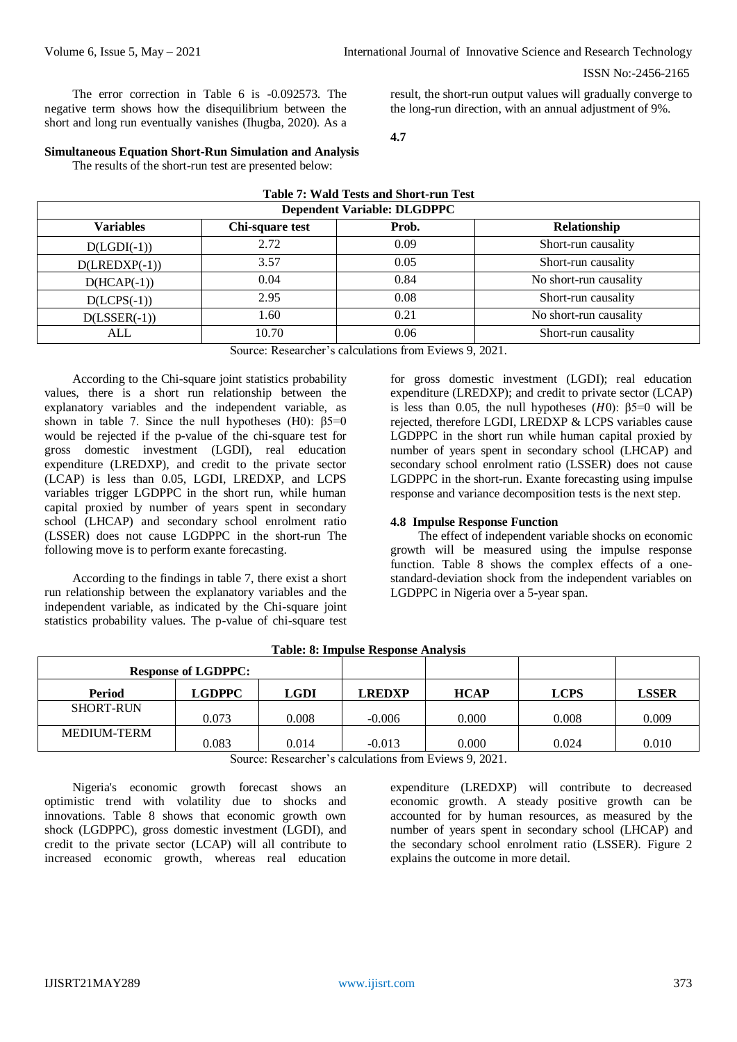The error correction in Table 6 is -0.092573. The negative term shows how the disequilibrium between the short and long run eventually vanishes (Ihugba, 2020). As a result, the short-run output values will gradually converge to the long-run direction, with an annual adjustment of 9%.

**4.7**

#### **Simultaneous Equation Short-Run Simulation and Analysis**

The results of the short-run test are presented below:

| <b>Table 7: Wald Tests and Short-run Test</b> |                 |                                      |                        |  |  |  |  |  |
|-----------------------------------------------|-----------------|--------------------------------------|------------------------|--|--|--|--|--|
| <b>Dependent Variable: DLGDPPC</b>            |                 |                                      |                        |  |  |  |  |  |
| <b>Variables</b>                              | Chi-square test | Prob.                                | Relationship           |  |  |  |  |  |
| $D(LGDI(-1))$                                 | 2.72            | 0.09                                 | Short-run causality    |  |  |  |  |  |
| $D(LEDXP(-1))$                                | 3.57            | 0.05                                 | Short-run causality    |  |  |  |  |  |
| $D(HCAP(-1))$                                 | 0.04            | 0.84                                 | No short-run causality |  |  |  |  |  |
| $D(LCPS(-1))$                                 | 2.95            | 0.08                                 | Short-run causality    |  |  |  |  |  |
| $D(LSSER(-1))$                                | 1.60            | 0.21                                 | No short-run causality |  |  |  |  |  |
| ALL                                           | 10.70           | 0.06                                 | Short-run causality    |  |  |  |  |  |
|                                               |                 | $\alpha$ n 1, 1, $\alpha$ n $\alpha$ |                        |  |  |  |  |  |

Source: Researcher's calculations from Eviews 9, 2021.

According to the Chi-square joint statistics probability values, there is a short run relationship between the explanatory variables and the independent variable, as shown in table 7. Since the null hypotheses (H0):  $\beta$ 5=0 would be rejected if the p-value of the chi-square test for gross domestic investment (LGDI), real education expenditure (LREDXP), and credit to the private sector (LCAP) is less than 0.05, LGDI, LREDXP, and LCPS variables trigger LGDPPC in the short run, while human capital proxied by number of years spent in secondary school (LHCAP) and secondary school enrolment ratio (LSSER) does not cause LGDPPC in the short-run The following move is to perform exante forecasting.

According to the findings in table 7, there exist a short run relationship between the explanatory variables and the independent variable, as indicated by the Chi-square joint statistics probability values. The p-value of chi-square test

for gross domestic investment (LGDI); real education expenditure (LREDXP); and credit to private sector (LCAP) is less than 0.05, the null hypotheses  $(H0)$ : β5=0 will be rejected, therefore LGDI, LREDXP & LCPS variables cause LGDPPC in the short run while human capital proxied by number of years spent in secondary school (LHCAP) and secondary school enrolment ratio (LSSER) does not cause LGDPPC in the short-run. Exante forecasting using impulse response and variance decomposition tests is the next step.

# **4.8 Impulse Response Function**

The effect of independent variable shocks on economic growth will be measured using the impulse response function. Table 8 shows the complex effects of a onestandard-deviation shock from the independent variables on LGDPPC in Nigeria over a 5-year span.

| <b>Response of LGDPPC:</b> |               |       |               |             |             |              |
|----------------------------|---------------|-------|---------------|-------------|-------------|--------------|
| <b>Period</b>              | <b>LGDPPC</b> | LGDI  | <b>LREDXP</b> | <b>HCAP</b> | <b>LCPS</b> | <b>LSSER</b> |
| <b>SHORT-RUN</b>           | 0.073         | 0.008 | $-0.006$      | 0.000       | 0.008       | 0.009        |
| <b>MEDIUM-TERM</b>         | 0.083         | 0.014 | $-0.013$      | 0.000       | 0.024       | 0.010        |

| <b>Table: 8: Impulse Response Analysis</b> |  |  |  |  |  |  |  |
|--------------------------------------------|--|--|--|--|--|--|--|
|--------------------------------------------|--|--|--|--|--|--|--|

Source: Researcher's calculations from Eviews 9, 2021.

Nigeria's economic growth forecast shows an optimistic trend with volatility due to shocks and innovations. Table 8 shows that economic growth own shock (LGDPPC), gross domestic investment (LGDI), and credit to the private sector (LCAP) will all contribute to increased economic growth, whereas real education

expenditure (LREDXP) will contribute to decreased economic growth. A steady positive growth can be accounted for by human resources, as measured by the number of years spent in secondary school (LHCAP) and the secondary school enrolment ratio (LSSER). Figure 2 explains the outcome in more detail.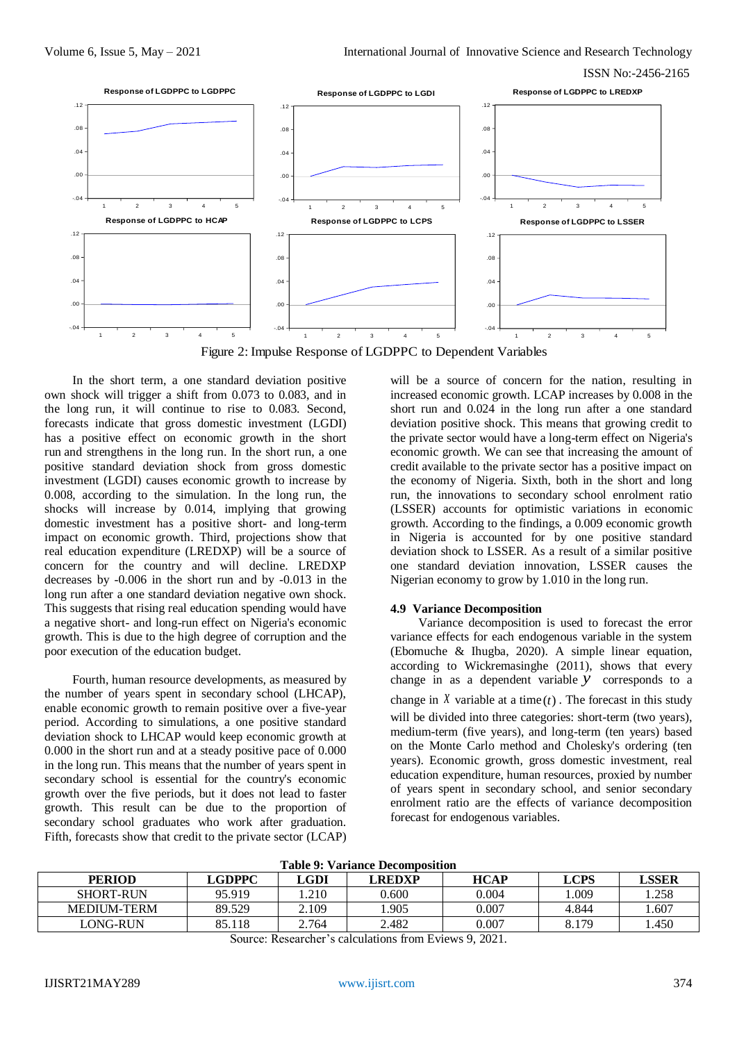

Figure 2: Impulse Response of LGDPPC to Dependent Variables

In the short term, a one standard deviation positive own shock will trigger a shift from 0.073 to 0.083, and in the long run, it will continue to rise to 0.083. Second, forecasts indicate that gross domestic investment (LGDI) has a positive effect on economic growth in the short run and strengthens in the long run. In the short run, a one positive standard deviation shock from gross domestic investment (LGDI) causes economic growth to increase by 0.008, according to the simulation. In the long run, the shocks will increase by 0.014, implying that growing domestic investment has a positive short- and long-term impact on economic growth. Third, projections show that real education expenditure (LREDXP) will be a source of concern for the country and will decline. LREDXP decreases by -0.006 in the short run and by -0.013 in the long run after a one standard deviation negative own shock. This suggests that rising real education spending would have a negative short- and long-run effect on Nigeria's economic growth. This is due to the high degree of corruption and the poor execution of the education budget.

Fourth, human resource developments, as measured by the number of years spent in secondary school (LHCAP), enable economic growth to remain positive over a five-year period. According to simulations, a one positive standard deviation shock to LHCAP would keep economic growth at 0.000 in the short run and at a steady positive pace of 0.000 in the long run. This means that the number of years spent in secondary school is essential for the country's economic growth over the five periods, but it does not lead to faster growth. This result can be due to the proportion of secondary school graduates who work after graduation. Fifth, forecasts show that credit to the private sector (LCAP)

will be a source of concern for the nation, resulting in increased economic growth. LCAP increases by 0.008 in the short run and 0.024 in the long run after a one standard deviation positive shock. This means that growing credit to the private sector would have a long-term effect on Nigeria's economic growth. We can see that increasing the amount of credit available to the private sector has a positive impact on the economy of Nigeria. Sixth, both in the short and long run, the innovations to secondary school enrolment ratio (LSSER) accounts for optimistic variations in economic growth. According to the findings, a 0.009 economic growth in Nigeria is accounted for by one positive standard deviation shock to LSSER. As a result of a similar positive one standard deviation innovation, LSSER causes the Nigerian economy to grow by 1.010 in the long run.

# **4.9 Variance Decomposition**

Variance decomposition is used to forecast the error variance effects for each endogenous variable in the system (Ebomuche & Ihugba, 2020). A simple linear equation, according to Wickremasinghe (2011), shows that every change in as a dependent variable *y* corresponds to a change in  $\bar{x}$  variable at a time  $(t)$ . The forecast in this study will be divided into three categories: short-term (two years), medium-term (five years), and long-term (ten years) based on the Monte Carlo method and Cholesky's ordering (ten years). Economic growth, gross domestic investment, real education expenditure, human resources, proxied by number of years spent in secondary school, and senior secondary enrolment ratio are the effects of variance decomposition forecast for endogenous variables.

| Table 9: Variance Decomposition |        |       |               |             |       |             |  |  |  |
|---------------------------------|--------|-------|---------------|-------------|-------|-------------|--|--|--|
| <b>PERIOD</b>                   | LGDPPC | LGDI  | <b>LREDXP</b> | <b>HCAP</b> | LCPS  | <b>SSER</b> |  |  |  |
| <b>SHORT-RUN</b>                | 95.919 | .210  | 0.600         | 0.004       | 009   | 1.258       |  |  |  |
| <b>MEDIUM-TERM</b>              | 89.529 | 2.109 | .905          | 0.007       | 4.844 | 607         |  |  |  |
| LONG-RUN                        | 85.118 | 2.764 | 2.482         | 0.007       | 8.179 | .450        |  |  |  |

**Table 9: Variance Decomposition**

Source: Researcher's calculations from Eviews 9, 2021.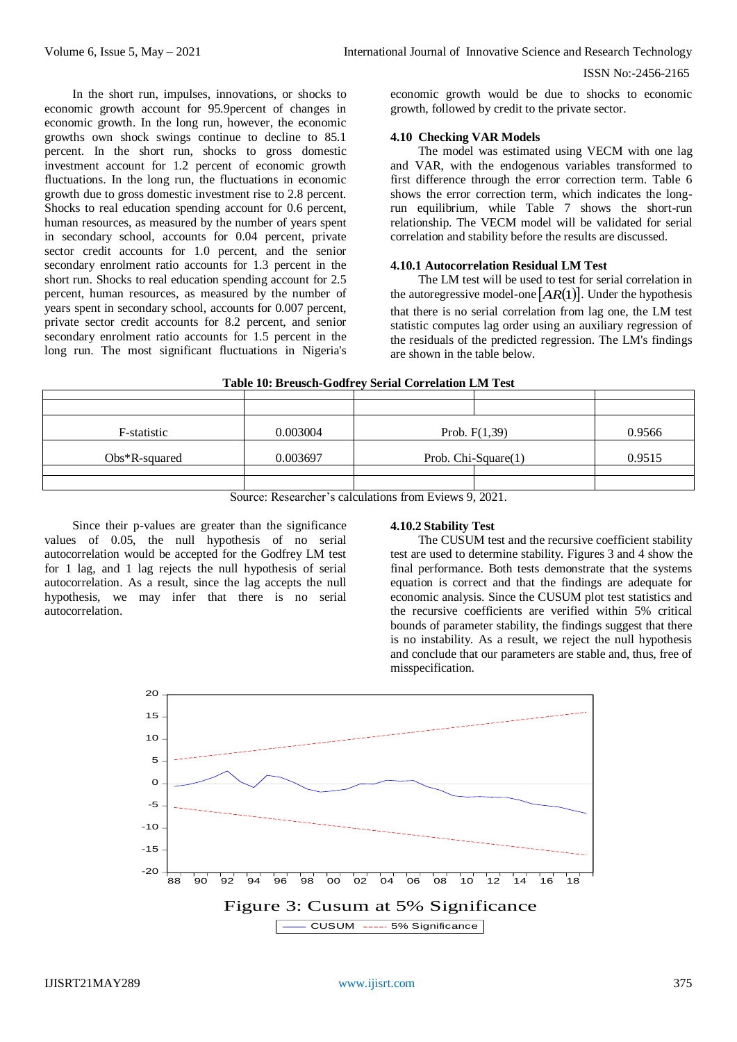In the short run, impulses, innovations, or shocks to economic growth account for 95.9percent of changes in economic growth. In the long run, however, the economic growths own shock swings continue to decline to 85.1 percent. In the short run, shocks to gross domestic investment account for 1.2 percent of economic growth fluctuations. In the long run, the fluctuations in economic growth due to gross domestic investment rise to 2.8 percent. Shocks to real education spending account for 0.6 percent, human resources, as measured by the number of years spent in secondary school, accounts for 0.04 percent, private sector credit accounts for 1.0 percent, and the senior secondary enrolment ratio accounts for 1.3 percent in the short run. Shocks to real education spending account for 2.5 percent, human resources, as measured by the number of years spent in secondary school, accounts for 0.007 percent, private sector credit accounts for 8.2 percent, and senior secondary enrolment ratio accounts for 1.5 percent in the long run. The most significant fluctuations in Nigeria's

economic growth would be due to shocks to economic growth, followed by credit to the private sector.

#### **4.10 Checking VAR Models**

The model was estimated using VECM with one lag and VAR, with the endogenous variables transformed to first difference through the error correction term. Table 6 shows the error correction term, which indicates the longrun equilibrium, while Table 7 shows the short-run relationship. The VECM model will be validated for serial correlation and stability before the results are discussed.

# **4.10.1 Autocorrelation Residual LM Test**

The LM test will be used to test for serial correlation in the autoregressive model-one  $[AR(1)]$ . Under the hypothesis that there is no serial correlation from lag one, the LM test statistic computes lag order using an auxiliary regression of the residuals of the predicted regression. The LM's findings are shown in the table below.

|  | Table 10: Breusch-Godfrey Serial Correlation LM Test |  |  |  |  |
|--|------------------------------------------------------|--|--|--|--|
|  |                                                      |  |  |  |  |

| F-statistic      | 0.003004 | Prob. $F(1,39)$     |  | 0.9566 |
|------------------|----------|---------------------|--|--------|
| $Obs*R$ -squared | 0.003697 | Prob. Chi-Square(1) |  | 0.9515 |
|                  |          |                     |  |        |
|                  |          |                     |  |        |
|                  |          |                     |  |        |

Source: Researcher's calculations from Eviews 9, 2021.

Since their p-values are greater than the significance values of 0.05, the null hypothesis of no serial autocorrelation would be accepted for the Godfrey LM test for 1 lag, and 1 lag rejects the null hypothesis of serial autocorrelation. As a result, since the lag accepts the null hypothesis, we may infer that there is no serial autocorrelation.

# **4.10.2 Stability Test**

The CUSUM test and the recursive coefficient stability test are used to determine stability. Figures 3 and 4 show the final performance. Both tests demonstrate that the systems equation is correct and that the findings are adequate for economic analysis. Since the CUSUM plot test statistics and the recursive coefficients are verified within 5% critical bounds of parameter stability, the findings suggest that there is no instability. As a result, we reject the null hypothesis and conclude that our parameters are stable and, thus, free of misspecification.

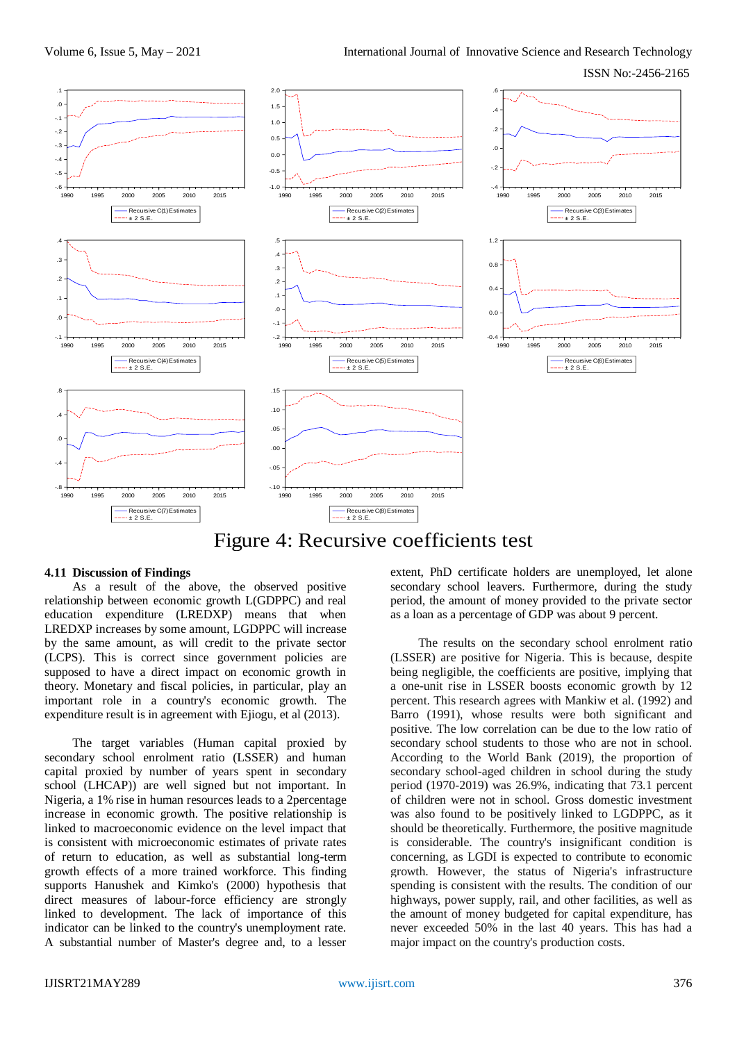ISSN No:-2456-2165



# Figure 4: Recursive coefficients test

#### **4.11 Discussion of Findings**

As a result of the above, the observed positive relationship between economic growth L(GDPPC) and real education expenditure (LREDXP) means that when LREDXP increases by some amount, LGDPPC will increase by the same amount, as will credit to the private sector (LCPS). This is correct since government policies are supposed to have a direct impact on economic growth in theory. Monetary and fiscal policies, in particular, play an important role in a country's economic growth. The expenditure result is in agreement with Ejiogu, et al (2013).

The target variables (Human capital proxied by secondary school enrolment ratio (LSSER) and human capital proxied by number of years spent in secondary school (LHCAP)) are well signed but not important. In Nigeria, a 1% rise in human resources leads to a 2percentage increase in economic growth. The positive relationship is linked to macroeconomic evidence on the level impact that is consistent with microeconomic estimates of private rates of return to education, as well as substantial long-term growth effects of a more trained workforce. This finding supports Hanushek and Kimko's (2000) hypothesis that direct measures of labour-force efficiency are strongly linked to development. The lack of importance of this indicator can be linked to the country's unemployment rate. A substantial number of Master's degree and, to a lesser

extent, PhD certificate holders are unemployed, let alone secondary school leavers. Furthermore, during the study period, the amount of money provided to the private sector as a loan as a percentage of GDP was about 9 percent.

The results on the secondary school enrolment ratio (LSSER) are positive for Nigeria. This is because, despite being negligible, the coefficients are positive, implying that a one-unit rise in LSSER boosts economic growth by 12 percent. This research agrees with Mankiw et al. (1992) and Barro (1991), whose results were both significant and positive. The low correlation can be due to the low ratio of secondary school students to those who are not in school. According to the World Bank (2019), the proportion of secondary school-aged children in school during the study period (1970-2019) was 26.9%, indicating that 73.1 percent of children were not in school. Gross domestic investment was also found to be positively linked to LGDPPC, as it should be theoretically. Furthermore, the positive magnitude is considerable. The country's insignificant condition is concerning, as LGDI is expected to contribute to economic growth. However, the status of Nigeria's infrastructure spending is consistent with the results. The condition of our highways, power supply, rail, and other facilities, as well as the amount of money budgeted for capital expenditure, has never exceeded 50% in the last 40 years. This has had a major impact on the country's production costs.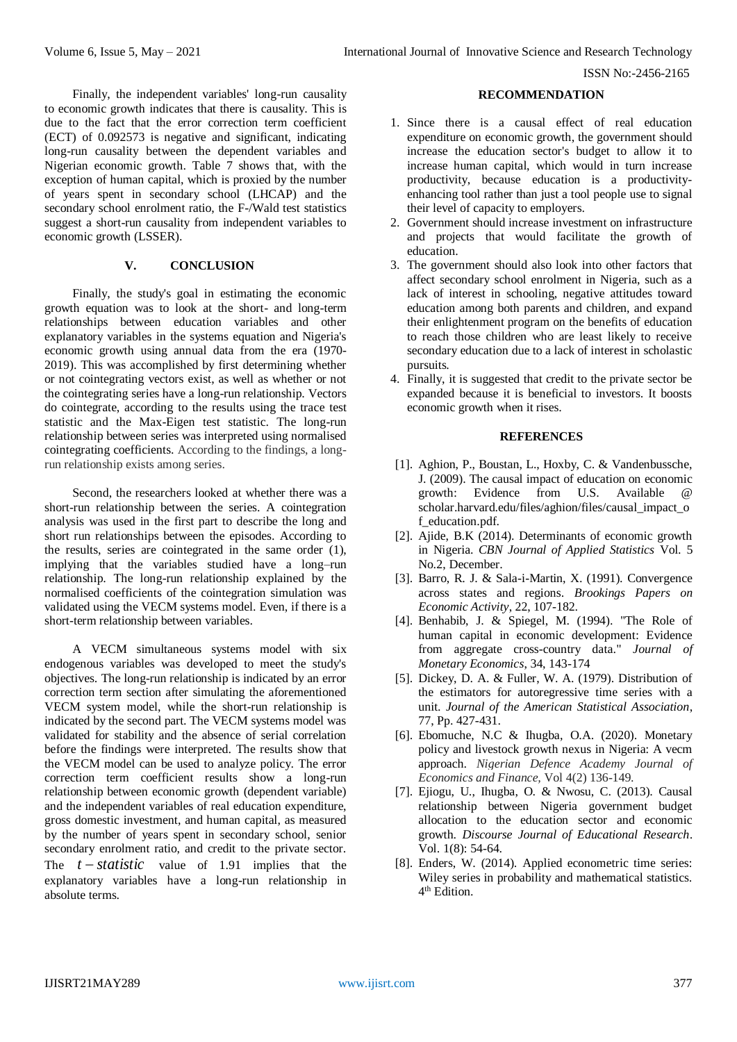Finally, the independent variables' long-run causality to economic growth indicates that there is causality. This is due to the fact that the error correction term coefficient (ECT) of 0.092573 is negative and significant, indicating long-run causality between the dependent variables and Nigerian economic growth. Table  $\overline{7}$  shows that, with the exception of human capital, which is proxied by the number of years spent in secondary school (LHCAP) and the secondary school enrolment ratio, the F-/Wald test statistics suggest a short-run causality from independent variables to economic growth (LSSER).

#### **V. CONCLUSION**

Finally, the study's goal in estimating the economic growth equation was to look at the short- and long-term relationships between education variables and other explanatory variables in the systems equation and Nigeria's economic growth using annual data from the era (1970- 2019). This was accomplished by first determining whether or not cointegrating vectors exist, as well as whether or not the cointegrating series have a long-run relationship. Vectors do cointegrate, according to the results using the trace test statistic and the Max-Eigen test statistic. The long-run relationship between series was interpreted using normalised cointegrating coefficients. According to the findings, a longrun relationship exists among series.

Second, the researchers looked at whether there was a short-run relationship between the series. A cointegration analysis was used in the first part to describe the long and short run relationships between the episodes. According to the results, series are cointegrated in the same order  $(1)$ , implying that the variables studied have a long–run relationship. The long-run relationship explained by the normalised coefficients of the cointegration simulation was validated using the VECM systems model. Even, if there is a short-term relationship between variables.

A VECM simultaneous systems model with six endogenous variables was developed to meet the study's objectives. The long-run relationship is indicated by an error correction term section after simulating the aforementioned VECM system model, while the short-run relationship is indicated by the second part. The VECM systems model was validated for stability and the absence of serial correlation before the findings were interpreted. The results show that the VECM model can be used to analyze policy. The error correction term coefficient results show a long-run relationship between economic growth (dependent variable) and the independent variables of real education expenditure, gross domestic investment, and human capital, as measured by the number of years spent in secondary school, senior secondary enrolment ratio, and credit to the private sector. The  $t - statistic$  value of 1.91 implies that the explanatory variables have a long-run relationship in absolute terms.

#### **RECOMMENDATION**

- 1. Since there is a causal effect of real education expenditure on economic growth, the government should increase the education sector's budget to allow it to increase human capital, which would in turn increase productivity, because education is a productivityenhancing tool rather than just a tool people use to signal their level of capacity to employers.
- 2. Government should increase investment on infrastructure and projects that would facilitate the growth of education.
- 3. The government should also look into other factors that affect secondary school enrolment in Nigeria, such as a lack of interest in schooling, negative attitudes toward education among both parents and children, and expand their enlightenment program on the benefits of education to reach those children who are least likely to receive secondary education due to a lack of interest in scholastic pursuits.
- 4. Finally, it is suggested that credit to the private sector be expanded because it is beneficial to investors. It boosts economic growth when it rises.

#### **REFERENCES**

- [1]. Aghion, P., Boustan, L., Hoxby, C. & Vandenbussche, J. (2009). The causal impact of education on economic growth: Evidence from U.S. Available @ scholar.harvard.edu/files/aghion/files/causal\_impact\_o f\_education.pdf.
- [2]. Ajide, B.K (2014). Determinants of economic growth in Nigeria. *CBN Journal of Applied Statistics* Vol. 5 No.2, December.
- [3]. Barro, R. J. & Sala-i-Martin, X. (1991). Convergence across states and regions. *Brookings Papers on Economic Activity*, 22, 107-182.
- [4]. Benhabib, J. & Spiegel, M. (1994). "The Role of human capital in economic development: Evidence from aggregate cross-country data." *Journal of Monetary Economics*, 34, 143-174
- [5]. Dickey, D. A. & Fuller, W. A. (1979). Distribution of the estimators for autoregressive time series with a unit. *Journal of the American Statistical Association*, 77, Pp. 427-431.
- [6]. Ebomuche, N.C & Ihugba, O.A. (2020). Monetary policy and livestock growth nexus in Nigeria: A vecm approach. *Nigerian Defence Academy Journal of Economics and Finance,* Vol 4(2) 136-149.
- [7]. Ejiogu, U., Ihugba, O. & Nwosu, C. (2013). Causal relationship between Nigeria government budget allocation to the education sector and economic growth. *Discourse Journal of Educational Research*. Vol. 1(8): 54-64.
- [8]. Enders, W. (2014). Applied econometric time series: Wiley series in probability and mathematical statistics. 4 th Edition.